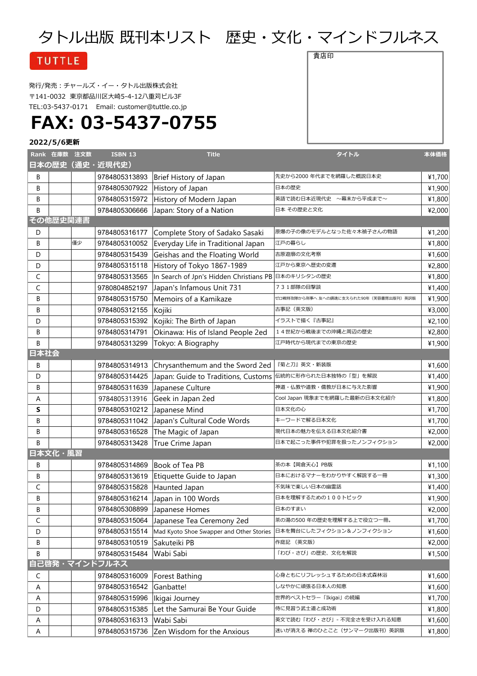# タトル出版 既刊本リスト 歴史・文化・マインドフルネス

### **TUTTLE**

発行/発売:チャールズ・イー・タトル出版株式会社 〒141-0032 東京都品川区大崎5-4-12八重苅ビル3F TEL:03-5437-0171 Email: [customer@tuttle.co.jp](mailto:customer@tuttle.co.jp)

# **FAX: 03-5437-0755**

### **2022/5/6更新**

|      | Rank 在庫数 注文数 |    | <b>ISBN 13</b> | <b>Title</b>                                        | タイトル                                   | 本体価格   |
|------|--------------|----|----------------|-----------------------------------------------------|----------------------------------------|--------|
|      |              |    | 日本の歴史(通史・近現代史) |                                                     |                                        |        |
| В    |              |    | 9784805313893  | Brief History of Japan                              | 先史から2000年代までを網羅した概説日本史                 | ¥1,700 |
| В    |              |    | 9784805307922  | History of Japan                                    | 日本の歴史                                  | ¥1,900 |
| B    |              |    | 9784805315972  | History of Modern Japan                             | 英語で読む日本近現代史 ~幕末から平成まで~                 | ¥1,800 |
| B    |              |    | 9784805306666  | Japan: Story of a Nation                            | 日本 その歴史と文化                             | ¥2,000 |
|      | その他歴史関連書     |    |                |                                                     |                                        |        |
| D    |              |    | 9784805316177  | Complete Story of Sadako Sasaki                     | 原爆の子の像のモデルとなった佐々木禎子さんの物語               | ¥1,200 |
| B    |              | 僅少 | 9784805310052  | Everyday Life in Traditional Japan                  | 江戸の暮らし                                 | ¥1,800 |
| D    |              |    | 9784805315439  | Geishas and the Floating World                      | 吉原遊廓の文化考察                              | ¥1,600 |
| D    |              |    | 9784805315118  | History of Tokyo 1867-1989                          | 江戸から東京へ歴史の変遷                           | ¥2,800 |
| C    |              |    | 9784805313565  | In Search of Jpn's Hidden Christians PB 日本のキリシタンの歴史 |                                        | ¥1,800 |
| C    |              |    | 9780804852197  | Japan's Infamous Unit 731                           | 731部隊の目撃談                              | ¥1,400 |
| B    |              |    | 9784805315750  | Memoirs of a Kamikaze                               | ゼロ戦特攻隊から刑事へ 友への鎮魂に支えられた90年(芙蓉書房出版刊)英訳版 | ¥1,900 |
| B    |              |    | 9784805312155  | Kojiki                                              | 古事記(英文版)                               | ¥3,000 |
| D    |              |    | 9784805315392  | Kojiki: The Birth of Japan                          | イラストで描く『古事記』                           | ¥2,100 |
| B    |              |    | 9784805314791  | Okinawa: His of Island People 2ed                   | 14世紀から戦後までの沖縄と周辺の歴史                    | ¥2,800 |
| B    |              |    | 9784805313299  | Tokyo: A Biography                                  | 江戸時代から現代までの東京の歴史                       | ¥1,900 |
| 日本社会 |              |    |                |                                                     |                                        |        |
| B    |              |    | 9784805314913  | Chrysanthemum and the Sword 2ed                     | 『菊と刀』英文・新装版                            | ¥1,600 |
| D    |              |    | 9784805314425  | Japan: Guide to Traditions, Customs                 | 伝統的に形作られた日本独特の「型」を解説                   | ¥1,400 |
| B    |              |    | 9784805311639  | Japanese Culture                                    | 神道・仏教や道教・儒教が日本に与えた影響                   | ¥1,900 |
| Α    |              |    | 9784805313916  | Geek in Japan 2ed                                   | Cool Japan 現象までを網羅した最新の日本文化紹介          | ¥1,800 |
| S    |              |    | 9784805310212  | Japanese Mind                                       | 日本文化の心                                 | ¥1,700 |
| В    |              |    | 9784805311042  | Japan's Cultural Code Words                         | キーワードで解る日本文化                           | ¥1,700 |
| B    |              |    | 9784805316528  | The Magic of Japan                                  | 現代日本の魅力を伝える日本文化紹介書                     | ¥2,000 |
| B    |              |    | 9784805313428  | True Crime Japan                                    | 日本で起こった事件や犯罪を扱ったノンフィクション               | ¥2,000 |
|      | 日本文化・風習      |    |                |                                                     |                                        |        |
| B    |              |    | 9784805314869  | Book of Tea PB                                      | 茶の本【岡倉天心】PB版                           | ¥1,100 |
| В    |              |    | 9784805313619  | Etiquette Guide to Japan                            | 日本におけるマナーをわかりやすく解説する一冊                 | ¥1,300 |
| C    |              |    | 9784805315828  | Haunted Japan                                       | 不気味で楽しい日本の幽霊話                          | ¥1,400 |
| B    |              |    | 9784805316214  | Japan in 100 Words                                  | 日本を理解するための100トピック                      | ¥1,900 |
| В    |              |    | 9784805308899  | Japanese Homes                                      | 日本のすまい                                 | ¥2,000 |
| C    |              |    | 9784805315064  | Japanese Tea Ceremony 2ed                           | 茶の湯の500 年の歴史を理解する上で役立つ一冊。              | 41,700 |
| D    |              |    | 9784805315514  | Mad Kyoto Shoe Swapper and Other Stories            | 日本を舞台にしたフィクション&ノンフィクション                | ¥1,600 |
| В    |              |    | 9784805310519  | Sakuteiki PB                                        | 作庭記 (英文版)                              | ¥2,000 |
| B    |              |    | 9784805315484  | Wabi Sabi                                           | 「わび・さび」の歴史、文化を解説                       | ¥1,500 |
|      |              |    | 自己啓発・マインドフルネス  |                                                     |                                        |        |
| C    |              |    | 9784805316009  | Forest Bathing                                      | 心身ともにリフレッシュするための日本式森林浴                 | ¥1,600 |
| A    |              |    | 9784805316542  | Ganbatte!                                           | しなやかに頑張る日本人の知恵                         | ¥1,600 |
| Α    |              |    | 9784805315996  | Ikigai Journey                                      | 世界的ベストセラー「Ikigai」の続編                   | ¥1,700 |
| D    |              |    | 9784805315385  | Let the Samurai Be Your Guide                       | 侍に見習う武士道と成功術                           | ¥1,800 |
| Α    |              |    | 9784805316313  | Wabi Sabi                                           | 英文で読む「わび・さび」- 不完全さを受け入れる知恵             | ¥1,600 |
| Α    |              |    | 9784805315736  | Zen Wisdom for the Anxious                          | 迷いが消える 禅のひとこと (サンマーク出版刊) 英訳版           | ¥1,800 |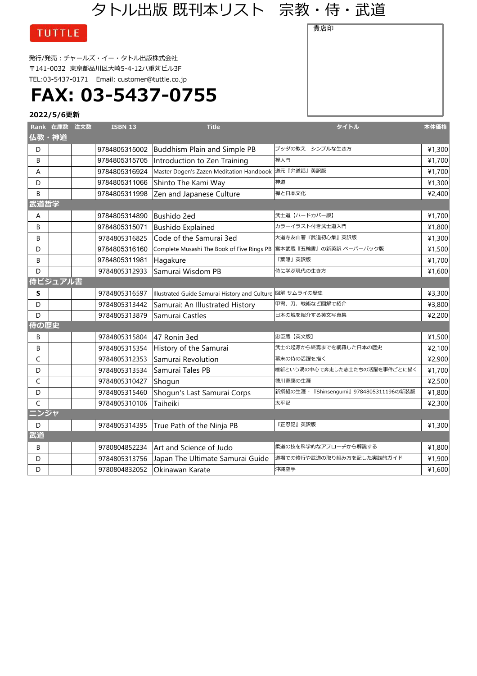## タトル出版 既刊本リスト 宗教・侍・武道

貴店印

### **TUTTLE**

発行/発売:チャールズ・イー・タトル出版株式会社 〒141-0032 東京都品川区大崎5-4-12八重苅ビル3F TEL:03-5437-0171 Email: [customer@tuttle.co.jp](mailto:customer@tuttle.co.jp)

## **FAX: 03-5437-0755**

|       | Rank 在庫数 注文数 | <b>ISBN 13</b> | <b>Title</b>                                                       | タイトル                                     | 本体価格   |
|-------|--------------|----------------|--------------------------------------------------------------------|------------------------------------------|--------|
| 仏教・神道 |              |                |                                                                    |                                          |        |
| D     |              | 9784805315002  | Buddhism Plain and Simple PB                                       | ブッダの教え シンプルな生き方                          | ¥1,300 |
| B     |              | 9784805315705  | Introduction to Zen Training                                       | 禅入門                                      | ¥1,700 |
| A     |              | 9784805316924  | Master Dogen's Zazen Meditation Handbook                           | 道元『弁道話』英訳版                               | ¥1,700 |
| D     |              | 9784805311066  | Shinto The Kami Way                                                | 神道                                       | ¥1,300 |
| B     |              | 9784805311998  | Zen and Japanese Culture                                           | 禅と日本文化                                   | ¥2,400 |
| 武道哲学  |              |                |                                                                    |                                          |        |
| A     |              | 9784805314890  | Bushido 2ed                                                        | 武士道【ハードカバー版】                             | ¥1,700 |
| B     |              | 9784805315071  | <b>Bushido Explained</b>                                           | カラーイラスト付き武士道入門                           | ¥1,800 |
| B     |              | 9784805316825  | Code of the Samurai 3ed                                            | 大道寺友山著『武道初心集』英訳版                         | ¥1,300 |
| D     |              | 9784805316160  | Complete Musashi The Book of Five Rings PB  宮本武蔵『五輪書』の新英訳 ペーパーバック版 |                                          | ¥1,500 |
| B     |              | 9784805311981  | Hagakure                                                           | 「葉隠」英訳版                                  | ¥1,700 |
| D     |              | 9784805312933  | Samurai Wisdom PB                                                  | 侍に学ぶ現代の生き方                               | ¥1,600 |
|       | 侍ビジュアル書      |                |                                                                    |                                          |        |
| S     |              | 9784805316597  | Illustrated Guide Samurai History and Culture  図解 サムライの歴史          |                                          | ¥3,300 |
| D     |              | 9784805313442  | Samurai: An Illustrated History                                    | 甲冑、刀、戦術など図解で紹介                           | ¥3,800 |
| D     |              | 9784805313879  | Samurai Castles                                                    | 日本の城を紹介する英文写真集                           | ¥2,200 |
| 侍の歴史  |              |                |                                                                    |                                          |        |
| B     |              | 9784805315804  | 47 Ronin 3ed                                                       | 忠臣蔵【英文版】                                 | ¥1,500 |
| B     |              | 9784805315354  | History of the Samurai                                             | 武士の起源から終焉までを網羅した日本の歴史                    | ¥2,100 |
| C     |              | 9784805312353  | Samurai Revolution                                                 | 幕末の侍の活躍を描く                               | ¥2,900 |
| D     |              | 9784805313534  | Samurai Tales PB                                                   | 維新という渦の中心で奔走した志士たちの活躍を事件ごとに描く            | ¥1,700 |
| C     |              | 9784805310427  | Shogun                                                             | 徳川家康の生涯                                  | ¥2,500 |
| D     |              | 9784805315460  | Shogun's Last Samurai Corps                                        | 新撰組の生涯 - 『Shinsengumi』 9784805311196の新装版 | ¥1,800 |
| C     |              | 9784805310106  | Taiheiki                                                           | 太平記                                      | ¥2,300 |
| ニンジャ  |              |                |                                                                    |                                          |        |
| D     |              | 9784805314395  | True Path of the Ninja PB                                          | 『正忍記』英訳版                                 | ¥1,300 |
| 武道    |              |                |                                                                    |                                          |        |
| B     |              | 9780804852234  | Art and Science of Judo                                            | 柔道の技を科学的なアプローチから解説する                     | ¥1,800 |
| D     |              | 9784805313756  | Japan The Ultimate Samurai Guide                                   | 道場での修行や武道の取り組み方を記した実践的ガイド                | ¥1,900 |
| D     |              | 9780804832052  | Okinawan Karate                                                    | 沖縄空手                                     | ¥1,600 |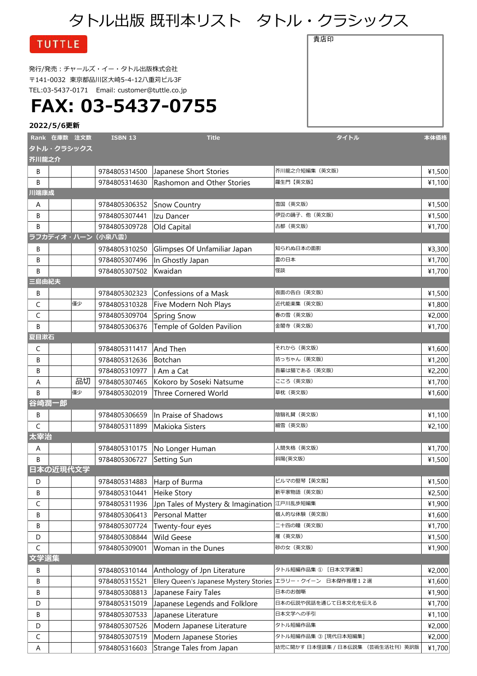# タトル出版 既刊本リスト タトル・クラシックス

貴店印

### **TUTTLE**

発行/発売:チャールズ・イー・タトル出版株式会社 〒141-0032 東京都品川区大崎5-4-12八重苅ビル3F TEL:03-5437-0171 Email: [customer@tuttle.co.jp](mailto:customer@tuttle.co.jp)

# **FAX: 03-5437-0755**

|             | Rank 在庫数 注文数 |            | <b>ISBN 13</b>    | <b>Title</b>                                                | タイトル                             | 本体価格   |
|-------------|--------------|------------|-------------------|-------------------------------------------------------------|----------------------------------|--------|
|             |              | タトル・クラシックス |                   |                                                             |                                  |        |
| 芥川龍之介       |              |            |                   |                                                             |                                  |        |
| B           |              |            | 9784805314500     | Japanese Short Stories                                      | 芥川龍之介短編集 (英文版)                   | ¥1,500 |
| B<br>川端康成   |              |            | 9784805314630     | Rashomon and Other Stories                                  | 羅生門【英文版】                         | ¥1,100 |
| A           |              |            | 9784805306352     | <b>Snow Country</b>                                         | 雪国(英文版)                          | ¥1,500 |
| B           |              |            | 9784805307441     | Izu Dancer                                                  | 伊豆の踊子、他(英文版)                     | ¥1,500 |
| B           |              |            | 9784805309728     | Old Capital                                                 | 古都(英文版)                          | ¥1,700 |
|             |              |            | ラフカディオ・ハーン (小泉八雲) |                                                             |                                  |        |
| B           |              |            | 9784805310250     | Glimpses Of Unfamiliar Japan                                | 知られぬ日本の面影                        | ¥3,300 |
| В           |              |            | 9784805307496     | In Ghostly Japan                                            | 霊の日本                             | ¥1,700 |
| B           |              |            | 9784805307502     | Kwaidan                                                     | 怪談                               | ¥1,700 |
| 三島由紀夫       |              |            |                   |                                                             |                                  |        |
| B           |              |            | 9784805302323     | Confessions of a Mask                                       | 仮面の告白(英文版)                       | ¥1,500 |
| C           |              | 僅少         | 9784805310328     | Five Modern Noh Plays                                       | 近代能楽集(英文版)                       | ¥1,800 |
| C           |              |            | 9784805309704     | Spring Snow                                                 | 春の雪(英文版)                         | ¥2,000 |
| B           |              |            | 9784805306376     | Temple of Golden Pavilion                                   | 金閣寺(英文版)                         | ¥1,700 |
| 夏目漱石        |              |            |                   |                                                             |                                  |        |
| C           |              |            | 9784805311417     | And Then                                                    | それから(英文版)                        | ¥1,600 |
| B           |              |            | 9784805312636     | Botchan                                                     | 坊っちゃん(英文版)                       | ¥1,200 |
| B           |              |            | 9784805310977     | ll Am a Cat                                                 | 吾輩は猫である(英文版)                     | ¥2,200 |
| Α           |              | 品切         | 9784805307465     | Kokoro by Soseki Natsume                                    | こころ(英文版)                         | ¥1,700 |
| B           |              | 僅少         | 9784805302019     | <b>Three Cornered World</b>                                 | 草枕(英文版)                          | ¥1,600 |
|             | 谷崎潤一郎        |            |                   |                                                             |                                  |        |
| B           |              |            | 9784805306659     | In Praise of Shadows                                        | 陰翳礼賛 (英文版)                       | ¥1,100 |
| $\mathsf C$ |              |            | 9784805311899     | Makioka Sisters                                             | 細雪(英文版)                          | ¥2,100 |
| 太宰治         |              |            |                   |                                                             |                                  |        |
| A           |              |            | 9784805310175     | No Longer Human                                             | 人間失格 (英文版)                       | ¥1,700 |
| B           |              |            | 9784805306727     | Setting Sun                                                 | 斜陽(英文版)                          | ¥1,500 |
|             | 日本の近現代文学     |            |                   |                                                             |                                  |        |
| D           |              |            | 9784805314883     | Harp of Burma                                               | ビルマの竪琴【英文版】                      | ¥1,500 |
| B           |              |            | 9784805310441     | Heike Story                                                 | 新平家物語 (英文版)                      | ¥2,500 |
| C           |              |            | 9784805311936     | Jpn Tales of Mystery & Imagination 江戸川乱歩短編集                 |                                  | ¥1,900 |
| В           |              |            | 9784805306413     | Personal Matter                                             | 個人的な体験(英文版)                      | ¥1,600 |
| B           |              |            | 9784805307724     | Twenty-four eyes                                            | 二十四の瞳(英文版)                       | ¥1,700 |
| D           |              |            | 9784805308844     | <b>Wild Geese</b>                                           | 雁(英文版)                           | ¥1,500 |
| $\mathsf C$ |              |            | 9784805309001     | Woman in the Dunes                                          | 砂の女(英文版)                         | ¥1,900 |
| 文学選集        |              |            |                   |                                                             |                                  |        |
| B           |              |            | 9784805310144     | Anthology of Jpn Literature                                 | タトル短編作品集 ① [日本文学選集]              | ¥2,000 |
| B           |              |            | 9784805315521     | Ellery Queen's Japanese Mystery Stories エラリー・クイーン 日本傑作推理12選 |                                  | ¥1,600 |
| B           |              |            | 9784805308813     | Japanese Fairy Tales                                        | 日本のお伽噺                           | ¥1,900 |
| D           |              |            | 9784805315019     | Japanese Legends and Folklore                               | 日本の伝説や民話を通じて日本文化を伝える             | ¥1,700 |
| В           |              |            | 9784805307533     | Japanese Literature                                         | 日本文学への手引                         | ¥1,100 |
| D           |              |            | 9784805307526     | Modern Japanese Literature                                  | タトル短編作品集                         | ¥2,000 |
| C           |              |            | 9784805307519     | Modern Japanese Stories                                     | タトル短編作品集 ③ [現代日本短編集]             | ¥2,000 |
| A           |              |            | 9784805316603     | Strange Tales from Japan                                    | 幼児に聞かす 日本怪談集 / 日本伝説集 (芸術生活社刊)英訳版 | ¥1,700 |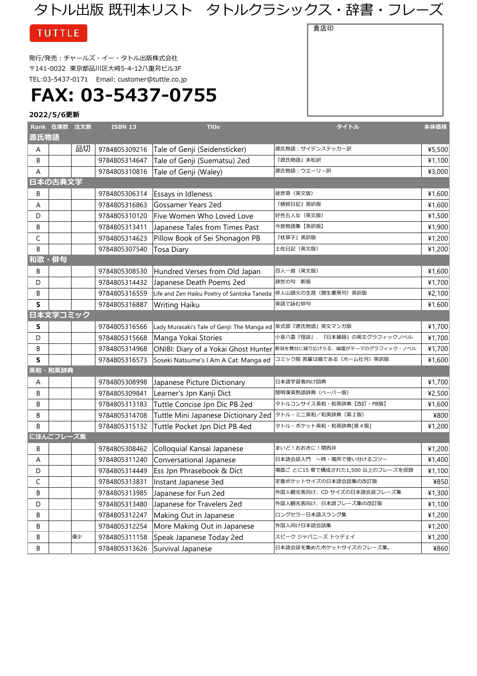## タトル出版 既刊本リスト タトルクラシックス・辞書・フレーズ

**TUTTLE** 

発行/発売:チャールズ・イー・タトル出版株式会社 〒141-0032 東京都品川区大崎5-4-12八重苅ビル3F TEL:03-5437-0171 Email: [customer@tuttle.co.jp](mailto:customer@tuttle.co.jp)

**FAX: 03-5437-0755**

#### **2022/5/6更新**

|       | Rank 在庫数 注文数 |    | <b>ISBN 13</b> | <b>Title</b>                                | タイトル                                                                 | 本体価格   |
|-------|--------------|----|----------------|---------------------------------------------|----------------------------------------------------------------------|--------|
| 源氏物語  |              |    |                |                                             |                                                                      |        |
| A     |              | 品切 | 9784805309216  | Tale of Genji (Seidensticker)               | 源氏物語:サイデンステッカー訳                                                      | ¥5,500 |
| B     |              |    | 9784805314647  | Tale of Genji (Suematsu) 2ed                | 『源氏物語』末松訳                                                            | ¥1,100 |
| Α     |              |    | 9784805310816  | Tale of Genji (Waley)                       | 源氏物語:ウエーリ-訳                                                          | ¥3,000 |
|       | 日本の古典文学      |    |                |                                             |                                                                      |        |
| B     |              |    | 9784805306314  | Essays in Idleness                          | 徒然草(英文版)                                                             | ¥1,600 |
| Α     |              |    | 9784805316863  | Gossamer Years 2ed                          | 『蜻蛉日記』英訳版                                                            | ¥1,600 |
| D     |              |    | 9784805310120  | Five Women Who Loved Love                   | 好色五人女(英文版)                                                           | ¥1,500 |
| B     |              |    | 9784805313411  | Japanese Tales from Times Past              | 今昔物語集【英訳版】                                                           | ¥1,900 |
| C     |              |    | 9784805314623  | Pillow Book of Sei Shonagon PB              | 『枕草子』英訳版                                                             | ¥1,200 |
| B     |              |    | 9784805307540  | Tosa Diary                                  | 土佐日記(英文版)                                                            | ¥1,200 |
| 和歌・俳句 |              |    |                |                                             |                                                                      |        |
| B     |              |    | 9784805308530  | Hundred Verses from Old Japan               | 百人一首(英文版)                                                            | ¥1,600 |
| D     |              |    | 9784805314432  | Japanese Death Poems 2ed                    | 辞世の句 新版                                                              | ¥1,700 |
| В     |              |    | 9784805316559  | Life and Zen Haiku Poetry of Santoka Taneda | 俳人山頭火の生涯(彌生書房刊)英訳版                                                   | ¥2,100 |
| S     |              |    | 9784805316887  | Writing Haiku                               | 英語で詠む俳句                                                              | ¥1,600 |
|       | 日本文学コミック     |    |                |                                             |                                                                      |        |
| s     |              |    | 9784805316566  | Lady Murasaki's Tale of Genji: The Manga ed | 紫式部『源氏物語』英文マンガ版                                                      | ¥1,700 |
| D     |              |    | 9784805315668  | Manga Yokai Stories                         | 小泉八雲『怪談』、『日本雑録』の英文グラフィックノベル                                          | ¥1,700 |
| В     |              |    | 9784805314968  |                                             | ONIBI: Diary of a Yokai Ghost Hunter 新潟を舞台に繰り広げらる、 幽霊がテーマのグラフィック・ノベル | ¥1,700 |
| S     |              |    | 9784805316573  | Soseki Natsume's I Am A Cat: Manga ed       | コミック版 吾輩は猫である (ホーム社刊) 英訳版                                            | ¥1,600 |
|       | 英和・和英辞典      |    |                |                                             |                                                                      |        |
| A     |              |    | 9784805308998  | Japanese Picture Dictionary                 | 日本語学習者向け図典                                                           | ¥1,700 |
| B     |              |    | 9784805309841  | Learner's Jpn Kanji Dict                    | 簡明漢英熟語辞典(ペーパー版)                                                      | ¥2,500 |
| B     |              |    | 9784805313183  | Tuttle Concise Jpn Dic PB 2ed               | タトルコンサイス英和・和英辞典【改訂・PB版】                                              | ¥1,600 |
| В     |              |    | 9784805314708  | Tuttle Mini Japanese Dictionary 2ed         | タトル・ミニ英和/和英辞典 (第2版)                                                  | ¥800   |
| B     |              |    | 9784805315132  | Tuttle Pocket Jpn Dict PB 4ed               | タトル・ポケット英和・和英辞典[第4版]                                                 | ¥1,200 |
|       | にほんごフレーズ集    |    |                |                                             |                                                                      |        |
| B     |              |    | 9784805308462  | Colloquial Kansai Japanese                  | まいど!おおきに!関西弁                                                         | ¥1,200 |
| Α     |              |    | 9784805311240  | Conversational Japanese                     | 日本語会話入門 ~時・場所で使い分けるコツ~                                               | ¥1,400 |
| D     |              |    | 9784805314449  | Ess Jpn Phrasebook & Dict                   | 場面ご とに15 章で構成された1,500 以上のフレーズを収録                                     | ¥1,100 |
| C     |              |    | 9784805313831  | Instant Japanese 3ed                        | 定番ポケットサイズの日本語会話集の改訂版                                                 | ¥850   |
| В     |              |    | 9784805313985  | Japanese for Fun 2ed                        | 外国人観光客向け、CD サイズの日本語会話フレーズ集                                           | 41,300 |
| D     |              |    | 9784805313480  | Japanese for Travelers 2ed                  | 外国人観光客向け、日本語フレーズ集の改訂版                                                | ¥1,100 |
| В     |              |    | 9784805312247  | Making Out in Japanese                      | ロングセラー日本語スラング集                                                       | ¥1,200 |
| В     |              |    | 9784805312254  | More Making Out in Japanese                 | 外国人向け日本語会話集                                                          | ¥1,200 |
| В     |              | 僅少 | 9784805311158  | Speak Japanese Today 2ed                    | スピーク ジャパニーズ トゥデェイ                                                    | ¥1,200 |
| В     |              |    | 9784805313626  | Survival Japanese                           | 日本語会話を集めたポケットサイズのフレーズ集。                                              | ¥860   |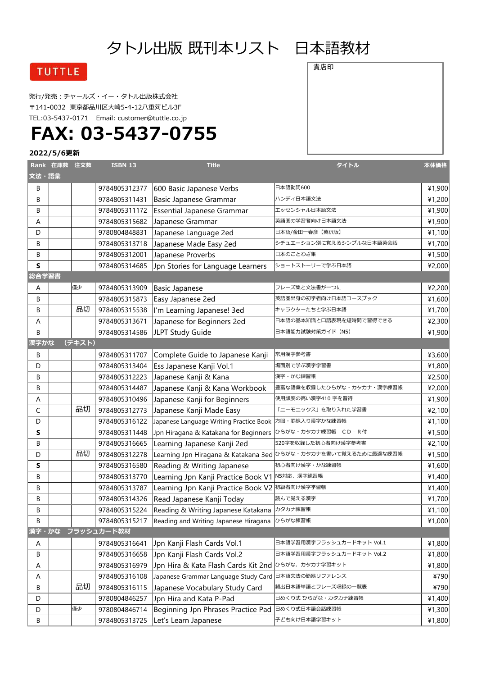## タトル出版 既刊本リスト 日本語教材

### **TUTTLE**

発行/発売:チャールズ・イー・タトル出版株式会社 〒141-0032 東京都品川区大崎5-4-12八重苅ビル3F TEL:03-5437-0171 Email: [customer@tuttle.co.jp](mailto:customer@tuttle.co.jp)

# **FAX: 03-5437-0755**

#### **2022/5/6更新**

| 文法・語彙 | Rank 在庫数 注文数 |        | <b>ISBN 13</b>   | <b>Title</b>                                            | タイトル                                                           | 本体価格   |
|-------|--------------|--------|------------------|---------------------------------------------------------|----------------------------------------------------------------|--------|
| B     |              |        | 9784805312377    | 600 Basic Japanese Verbs                                | 日本語動詞600                                                       | ¥1,900 |
| B     |              |        | 9784805311431    | Basic Japanese Grammar                                  | ハンディ日本語文法                                                      | ¥1,200 |
| B     |              |        | 9784805311172    | <b>Essential Japanese Grammar</b>                       | エッセンシャル日本語文法                                                   | ¥1,900 |
| Α     |              |        | 9784805315682    | Japanese Grammar                                        | 英語圏の学習者向け日本語文法                                                 | ¥1,900 |
| D     |              |        | 9780804848831    | Japanese Language 2ed                                   | 日本語/金田一春彦【英訳版】                                                 | ¥1,100 |
| В     |              |        | 9784805313718    | Japanese Made Easy 2ed                                  | シチュエーション別に覚えるシンプルな日本語英会話                                       | ¥1,700 |
| В     |              |        | 9784805312001    | Japanese Proverbs                                       | 日本のことわざ集                                                       | ¥1,500 |
| S     |              |        | 9784805314685    | Jpn Stories for Language Learners                       | ショートストーリーで学ぶ日本語                                                | ¥2,000 |
| 総合学習書 |              |        |                  |                                                         |                                                                |        |
| Α     |              | 僅少     | 9784805313909    | <b>Basic Japanese</b>                                   | フレーズ集と文法書が一つに                                                  | ¥2,200 |
| B     |              |        | 9784805315873    | Easy Japanese 2ed                                       | 英語圏出身の初学者向け日本語コースブック                                           | ¥1,600 |
| B     |              | 品切     | 9784805315538    | I'm Learning Japanese! 3ed                              | キャラクターたちと学ぶ日本語                                                 | ¥1,700 |
| Α     |              |        | 9784805313671    | Japanese for Beginners 2ed                              | 日本語の基本知識と口語表現を短時間で習得できる                                        | ¥2,300 |
| B     |              |        | 9784805314586    | JLPT Study Guide                                        | 日本語能力試験対策ガイド (N5)                                              | ¥1,900 |
| 漢字かな  |              | (テキスト) |                  |                                                         |                                                                |        |
| B     |              |        | 9784805311707    | Complete Guide to Japanese Kanji                        | 常用漢字参考書                                                        | ¥3,600 |
| D     |              |        | 9784805313404    | Ess Japanese Kanji Vol.1                                | 場面別で学ぶ漢字学習書                                                    | ¥1,800 |
| В     |              |        | 9784805312223    | Japanese Kanji & Kana                                   | 漢字・かな練習帳                                                       | ¥2,500 |
| B     |              |        | 9784805314487    | Japanese Kanji & Kana Workbook                          | 豊富な語彙を収録したひらがな・カタカナ・漢字練習帳                                      | ¥2,000 |
| Α     |              |        | 9784805310496    | Japanese Kanji for Beginners                            | 使用頻度の高い漢字410 字を習得                                              | ¥1,900 |
| C     |              | 品切     | 9784805312773    | Japanese Kanji Made Easy                                | 「二ーモニックス」を取り入れた学習書                                             | ¥2,100 |
| D     |              |        | 9784805316122    | Japanese Language Writing Practice Book  方眼・罫線入り漢字かな練習帳 |                                                                | ¥1,100 |
| S     |              |        | 9784805311448    | Jpn Hiragana & Katakana for Beginners                   | ひらがな・カタカナ練習帳 CD-R付                                             | ¥1,500 |
| B     |              |        | 9784805316665    | Learning Japanese Kanji 2ed                             | 520字を収録した初心者向け漢字参考書                                            | ¥2,100 |
| D     |              | 品切     | 9784805312278    |                                                         | Learning Jpn Hiragana & Katakana 3ed ひらがな・カタカナを書いて覚えるために最適な練習帳 | ¥1,500 |
| S     |              |        | 9784805316580    | Reading & Writing Japanese                              | 初心者向け漢字・かな練習帳                                                  | ¥1,600 |
| B     |              |        | 9784805313770    | Learning Jpn Kanji Practice Book V1 N5対応、漢字練習帳          |                                                                | ¥1,400 |
| B     |              |        | 9784805313787    | Learning Jpn Kanji Practice Book V2 初級者向け漢字学習帳          |                                                                | ¥1,400 |
| B     |              |        | 9784805314326    | Read Japanese Kanji Today                               | 読んで覚える漢字                                                       | ¥1,700 |
| В     |              |        | 9784805315224    | Reading & Writing Japanese Katakana カタカナ練習帳             |                                                                | ¥1,100 |
| В     |              |        | 9784805315217    | Reading and Writing Japanese Hiragana ひらがな練習帳           |                                                                | ¥1,000 |
|       |              |        | 漢字・かな フラッシュカード教材 |                                                         |                                                                |        |
| A     |              |        | 9784805316641    | Jpn Kanji Flash Cards Vol.1                             | 日本語学習用漢字フラッシュカードキット Vol.1                                      | ¥1,800 |
| В     |              |        | 9784805316658    | Jpn Kanji Flash Cards Vol.2                             | 日本語学習用漢字フラッシュカードキット Vol.2                                      | ¥1,800 |
| A     |              |        | 9784805316979    | Jpn Hira & Kata Flash Cards Kit 2nd ひらがな、カタカナ学習キット      |                                                                | ¥1,800 |
| A     |              |        | 9784805316108    | Japanese Grammar Language Study Card 日本語文法の簡易リファレンス     |                                                                | ¥790   |
| В     |              | 品切     | 9784805316115    | Japanese Vocabulary Study Card                          | 頻出日本語単語とフレーズ収録の一覧表                                             | ¥790   |
| D     |              |        | 9780804846257    | Jpn Hira and Kata P-Pad                                 | 日めくり式 ひらがな・カタカナ練習帳                                             | ¥1,400 |
| D     |              | 僅少     | 9780804846714    | Beginning Jpn Phrases Practice Pad                      | 日めくり式日本語会話練習帳                                                  | ¥1,300 |
| В     |              |        | 9784805313725    | Let's Learn Japanese                                    | 子ども向け日本語学習キット                                                  | ¥1,800 |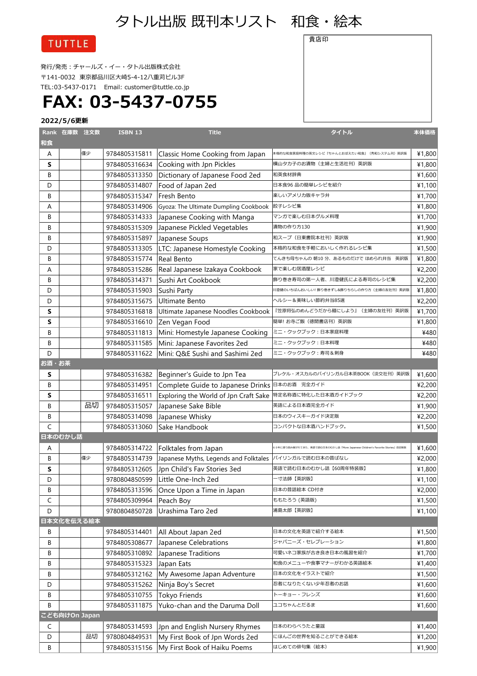### タトル出版 既刊本リスト 和食・絵本

**TUTTLE** 

発行/発売:チャールズ・イー・タトル出版株式会社 〒141-0032 東京都品川区大崎5-4-12八重苅ビル3F TEL:03-5437-0171 Email: [customer@tuttle.co.jp](mailto:customer@tuttle.co.jp)

# **FAX: 03-5437-0755**

|       | Rank 在庫数 注文数  |    | <b>ISBN 13</b> | <b>Title</b>                                              | タイトル                                                                       | 本体価格   |
|-------|---------------|----|----------------|-----------------------------------------------------------|----------------------------------------------------------------------------|--------|
| 和食    |               |    |                |                                                           |                                                                            |        |
| A     |               | 僅少 | 9784805315811  | Classic Home Cooking from Japan                           | 本格的な和食家庭料理の英文レシピ『ちゃんとおぼえたい和食』(秀和システム刊)英訳版                                  | ¥1,800 |
| S     |               |    | 9784805316634  | Cooking with Jpn Pickles                                  | 横山タカ子のお漬物(主婦と生活社刊)英訳版                                                      | ¥1,800 |
| B     |               |    | 9784805313350  | Dictionary of Japanese Food 2ed                           | 和英食材辞典                                                                     | ¥1,600 |
| D     |               |    | 9784805314807  | Food of Japan 2ed                                         | 日本食96 品の簡単レシピを紹介                                                           | ¥1,100 |
| B     |               |    | 9784805315347  | Fresh Bento                                               | 楽しいアメリカ版キャラ弁                                                               | ¥1,700 |
| А     |               |    | 9784805314906  | Gyoza: The Ultimate Dumpling Cookbook                     | 餃子レシピ集                                                                     | ¥1,800 |
| B     |               |    | 9784805314333  | Japanese Cooking with Manga                               | マンガで楽しむ日本グルメ料理                                                             | ¥1,700 |
| B     |               |    |                | 9784805315309 Japanese Pickled Vegetables                 | 漬物の作り方130                                                                  | ¥1,900 |
| B     |               |    | 9784805315897  | Japanese Soups                                            | 和スープ(日東書院本社刊)英訳版                                                           | ¥1,900 |
| D     |               |    | 9784805313305  | LTC: Japanese Homestyle Cooking                           | 本格的な和食を手軽においしく作れるレシピ集                                                      | ¥1,500 |
| B     |               |    | 9784805315774  | Real Bento                                                | てんきち母ちゃんの 朝10 分、あるものだけで ほめられ弁当 英訳版                                         | ¥1,800 |
| Α     |               |    | 9784805315286  | Real Japanese Izakaya Cookbook                            | 家で楽しむ居酒屋レシピ                                                                | ¥2,200 |
| B     |               |    | 9784805314371  | Sushi Art Cookbook                                        | 飾り巻き寿司の第一人者、川澄健氏による寿司のレシピ集                                                 | ¥2,200 |
| D     |               |    | 9784805315903  | Sushi Party                                               | 澄健のいちばんおいしい! 飾り巻きずし&飾りちらしの作り方 (主婦の友社刊) 英訳版                                 | ¥1,800 |
| D     |               |    | 9784805315675  | <b>Ultimate Bento</b>                                     | ヘルシー&美味しい節約弁当85選                                                           | ¥2,200 |
| S     |               |    | 9784805316818  | Ultimate Japanese Noodles Cookbook                        | 『笠原将弘のめんどうだから麺にしよう』(主婦の友社刊)英訳版                                             | ¥1,700 |
| S     |               |    | 9784805316610  | Zen Vegan Food                                            | 簡単! お寺ご飯(徳間書店刊)英訳版                                                         | ¥1,800 |
| B     |               |    | 9784805311813  | Mini: Homestyle Japanese Cooking                          | ミニ・クックブック:日本家庭料理                                                           | ¥480   |
| B     |               |    | 9784805311585  | Mini: Japanese Favorites 2ed                              | ミニ・クックブック:日本料理                                                             | ¥480   |
| D     |               |    | 9784805311622  | Mini: Q&E Sushi and Sashimi 2ed                           | ミニ・クックブック:寿司&刺身                                                            | ¥480   |
| お酒・お茶 |               |    |                |                                                           |                                                                            |        |
| S     |               |    | 9784805316382  | Beginner's Guide to Jpn Tea                               | ブレケル・オスカルのバイリンガル日本茶BOOK (淡交社刊) 英訳版                                         | ¥1,600 |
| B     |               |    | 9784805314951  | Complete Guide to Japanese Drinks 日本のお酒 完全ガイド             |                                                                            | ¥2,200 |
| S     |               |    | 9784805316511  | Exploring the World of Jpn Craft Sake 特定名称酒に特化した日本酒ガイドブック |                                                                            | ¥2,200 |
| B     |               | 品切 | 9784805315057  | Japanese Sake Bible                                       | 英語による日本酒完全ガイド                                                              | ¥1,900 |
| B     |               |    | 9784805314098  | Japanese Whisky                                           | 日本のウィスキーガイド決定版                                                             | ¥2,200 |
| C     |               |    | 9784805313060  | Sake Handbook                                             | コンパクトな日本酒ハンドブック。                                                           | ¥1,500 |
|       | 日本のむかし話       |    |                |                                                           |                                                                            |        |
| A     |               |    | 9784805314722  | Folktales from Japan                                      | 60年に渡り読み継がれてきた、英語で読む日本のむかし話『More Japanese Children's Favorite Stories』改定新版 | ¥1,600 |
| B     |               | 僅少 | 9784805314739  | Japanese Myths, Legends and Folktales                     | バイリンガルで読む日本の昔ばなし                                                           | ¥2,000 |
| S     |               |    | 9784805312605  | Jpn Child's Fav Stories 3ed                               | 英語で読む日本のむかし話【60周年特装版】                                                      | ¥1,800 |
| D     |               |    | 9780804850599  | Little One-Inch 2ed                                       | -寸法師【英訳版】                                                                  | ¥1,100 |
| В     |               |    | 9784805313596  | Once Upon a Time in Japan                                 | 日本の昔話絵本 CD付き                                                               | ¥2,000 |
| C     |               |    | 9784805309964  | Peach Boy                                                 | ももたろう (英語版)                                                                | ¥1,500 |
| D     |               |    | 9780804850728  | Urashima Taro 2ed                                         | 浦島太郎【英訳版】                                                                  | ¥1,100 |
|       | 日本文化を伝える絵本    |    |                |                                                           |                                                                            |        |
| В     |               |    | 9784805314401  | All About Japan 2ed                                       | 日本の文化を英語で紹介する絵本                                                            | ¥1,500 |
| В     |               |    | 9784805308677  | Japanese Celebrations                                     | ジャパニーズ・セレブレーション                                                            | ¥1,800 |
| В     |               |    | 9784805310892  | Japanese Traditions                                       | 可愛いネコ家族が古き良き日本の風習を紹介                                                       | ¥1,700 |
| В     |               |    | 9784805315323  | Japan Eats                                                | 和食のメニューや食事マナーがわかる英語絵本                                                      | ¥1,400 |
| В     |               |    | 9784805312162  | My Awesome Japan Adventure                                | 日本の文化をイラストで紹介                                                              | ¥1,500 |
| D     |               |    | 9784805315262  | Ninja Boy's Secret                                        | 忍者になりたくない少年忍者のお話                                                           | ¥1,600 |
| В     |               |    | 9784805310755  | Tokyo Friends                                             | トーキョー・フレンズ                                                                 | ¥1,600 |
| B     |               |    | 9784805311875  | Yuko-chan and the Daruma Doll                             | ユコちゃんとだるま                                                                  | ¥1,600 |
|       | こども向けOn Japan |    |                |                                                           |                                                                            |        |
| C     |               |    | 9784805314593  | Jpn and English Nursery Rhymes                            | 日本のわらべうたと童謡                                                                | ¥1,400 |
| D     |               | 品切 | 9780804849531  | My First Book of Jpn Words 2ed                            | にほんごの世界を知ることができる絵本                                                         | ¥1,200 |
| В     |               |    | 9784805315156  | My First Book of Haiku Poems                              | はじめての俳句集(絵本)                                                               | ¥1,900 |

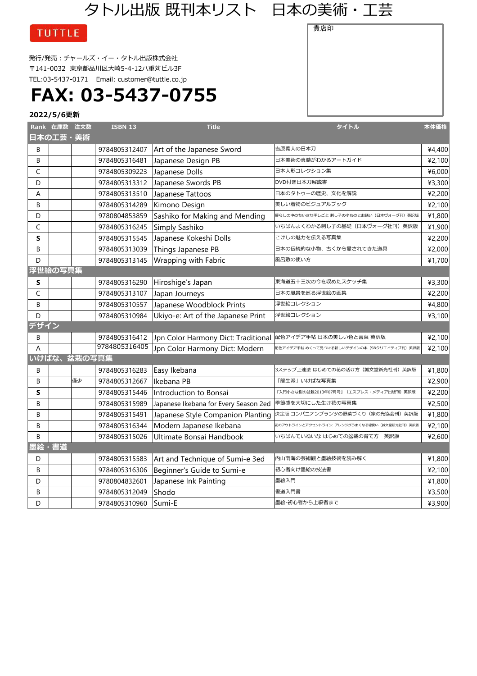タトル出版 既刊本リスト 日本の美術・工芸

貴店印

### **TUTTLE**

発行/発売:チャールズ・イー・タトル出版株式会社 〒141-0032 東京都品川区大崎5-4-12八重苅ビル3F TEL:03-5437-0171 Email: [customer@tuttle.co.jp](mailto:customer@tuttle.co.jp)

## **FAX: 03-5437-0755**

|      | Rank 在庫数 注文数 |             | <b>ISBN 13</b> | <b>Title</b>                          | タイトル                                           | 本体価格   |
|------|--------------|-------------|----------------|---------------------------------------|------------------------------------------------|--------|
|      | 日本の工芸・美術     |             |                |                                       |                                                |        |
| B    |              |             | 9784805312407  | Art of the Japanese Sword             | 吉原義人の日本刀                                       | ¥4,400 |
| B    |              |             | 9784805316481  | Japanese Design PB                    | 日本美術の真髄がわかるアートガイド                              | ¥2,100 |
| C    |              |             | 9784805309223  | Japanese Dolls                        | 日本人形コレクション集                                    | ¥6,000 |
| D    |              |             | 9784805313312  | Japanese Swords PB                    | DVD付き日本刀解説書                                    | ¥3,300 |
| A    |              |             | 9784805313510  | Japanese Tattoos                      | 日本のタトゥーの歴史、文化を解説                               | ¥2,200 |
| В    |              |             | 9784805314289  | Kimono Design                         | 美しい着物のビジュアルブック                                 | ¥2,100 |
| D    |              |             | 9780804853859  | Sashiko for Making and Mending        | 暮らしの中のちいさな手しごと 刺し子の小ものとお繕い(日本ヴォーグ刊)英訳版         | ¥1,800 |
| C    |              |             | 9784805316245  | Simply Sashiko                        | いちばんよくわかる刺し子の基礎(日本ヴォーグ社刊)英訳版                   | ¥1,900 |
| S    |              |             | 9784805315545  | Japanese Kokeshi Dolls                | こけしの魅力を伝える写真集                                  | ¥2,200 |
| B    |              |             | 9784805313039  | Things Japanese PB                    | 日本の伝統的な小物、古くから愛されてきた道具                         | ¥2,000 |
| D    |              |             | 9784805313145  | Wrapping with Fabric                  | 風呂敷の使い方                                        | ¥1,700 |
|      | 浮世絵の写真集      |             |                |                                       |                                                |        |
| S    |              |             | 9784805316290  | Hiroshige's Japan                     | 東海道五十三次の今を収めたスケッチ集                             | ¥3,300 |
| C    |              |             | 9784805313107  | Japan Journeys                        | 日本の風景を巡る浮世絵の画集                                 | ¥2,200 |
| B    |              |             | 9784805310557  | Japanese Woodblock Prints             | 浮世絵コレクション                                      | ¥4,800 |
| D    |              |             | 9784805310984  | Ukiyo-e: Art of the Japanese Print    | 浮世絵コレクション                                      | ¥3,100 |
| デザイン |              |             |                |                                       |                                                |        |
| B    |              |             | 9784805316412  | Jpn Color Harmony Dict: Traditional   | 配色アイデア手帖 日本の美しい色と言葉 英訳版                        | ¥2,100 |
| A    |              |             | 9784805316405  | Jpn Color Harmony Dict: Modern        | 配色アイデア手帖 めくって見つける新しいデザインの本(SBクリエイティブ刊)英訳版      | ¥2,100 |
|      |              | いけばな、盆栽の写真集 |                |                                       |                                                |        |
| В    |              |             | 9784805316283  | Easy Ikebana                          | 3ステップ上達法 はじめての花の活け方(誠文堂新光社刊)英訳版                | ¥1,800 |
| B    |              | 僅少          | 9784805312667  | Ikebana PB                            | 「龍生派」いけばな写真集                                   | ¥2,900 |
| S    |              |             | 9784805315446  | Introduction to Bonsai                | 『入門小さな樹の盆栽2013年07月号』(エスプレス・メディア出版刊)英訳版         | ¥2,200 |
| B    |              |             | 9784805315989  | Japanese Ikebana for Every Season 2ed | 季節感を大切にした生け花の写真集                               | ¥2,500 |
| B    |              |             | 9784805315491  | Japanese Style Companion Planting     | 決定版 コンパニオンプランツの野菜づくり(家の光協会刊)英訳版                | ¥1,800 |
| B    |              |             | 9784805316344  | Modern Japanese Ikebana               | 花のアウトラインとアクセントライン: アレンジがうまくなる線使い (誠文堂新光社刊) 英訳版 | ¥2,100 |
| B    |              |             | 9784805315026  | Ultimate Bonsai Handbook              | いちばんていねいな はじめての盆栽の育て方 英訳版                      | ¥2,600 |
| 墨絵   | · 書道         |             |                |                                       |                                                |        |
| D    |              |             | 9784805315583  | Art and Technique of Sumi-e 3ed       | 内山雨海の芸術観と墨絵技術を読み解く                             | ¥1,800 |
| B    |              |             | 9784805316306  | Beginner's Guide to Sumi-e            | 初心者向け墨絵の技法書                                    | ¥2,100 |
| D    |              |             | 9780804832601  | Japanese Ink Painting                 | 墨絵入門                                           | ¥1,800 |
| B    |              |             | 9784805312049  | Shodo                                 | 書道入門書                                          | ¥3,500 |
| D    |              |             | 9784805310960  | Sumi-E                                | 墨絵-初心者から上級者まで                                  | ¥3,900 |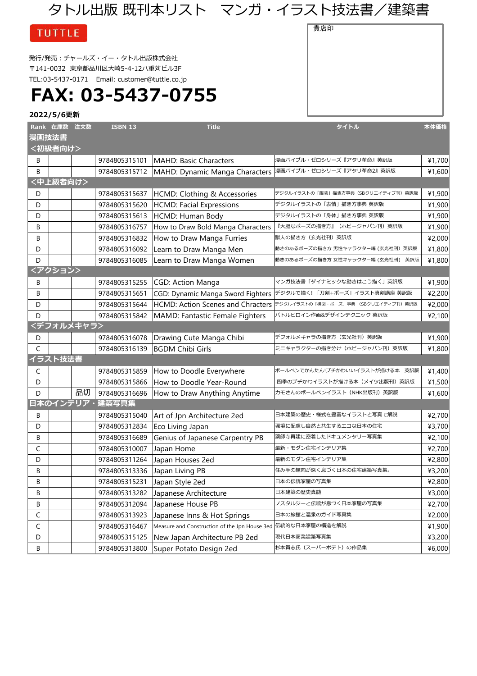### タトル出版 既刊本リスト マンガ・イラスト技法書/建築書

|  | <b>TUTTLE</b> |
|--|---------------|
|  |               |

発行/発売:チャールズ・イー・タトル出版株式会社 〒141-0032 東京都品川区大崎5-4-12八重苅ビル3F TEL:03-5437-0171 Email: [customer@tuttle.co.jp](mailto:customer@tuttle.co.jp)

# **FAX: 03-5437-0755**

**2022/5/6更新**

|       | Rank 在庫数 注文数 |            | <b>ISBN 13</b> | <b>Title</b>                                                 | タイトル                                                                   | 本体価格   |
|-------|--------------|------------|----------------|--------------------------------------------------------------|------------------------------------------------------------------------|--------|
| 漫画技法書 |              |            |                |                                                              |                                                                        |        |
|       | <初級者向け>      |            |                |                                                              |                                                                        |        |
| В     |              |            | 9784805315101  | <b>MAHD: Basic Characters</b>                                | 漫画バイブル・ゼロシリーズ『アタリ革命』英訳版                                                | ¥1,700 |
| B     |              |            | 9784805315712  |                                                              | MAHD: Dynamic Manga Characters  漫画バイブル・ゼロシリーズ『アタリ革命2』英訳版               | ¥1,600 |
|       | <中上級者向け>     |            |                |                                                              |                                                                        |        |
| D     |              |            | 9784805315637  | HCMD: Clothing & Accessories                                 | デジタルイラストの「服装」描き方事典 (SBクリエイティブ刊)英訳版                                     | ¥1,900 |
| D     |              |            | 9784805315620  | <b>HCMD: Facial Expressions</b>                              | デジタルイラストの 「表情」 描き方事典 英訳版                                               | ¥1,900 |
| D     |              |            | 9784805315613  | HCMD: Human Body                                             | デジタルイラストの「身体」描き方事典 英訳版                                                 | ¥1,900 |
| B     |              |            | 9784805316757  | How to Draw Bold Manga Characters                            | 『大胆なポーズの描き方』(ホビージャパン刊)英訳版                                              | ¥1,900 |
| B     |              |            | 9784805316832  | How to Draw Manga Furries                                    | 獣人の描き方(玄光社刊)英訳版                                                        | ¥2,000 |
| D     |              |            | 9784805316092  | Learn to Draw Manga Men                                      | 動きのあるポーズの描き方 男性キャラクター編 (玄光社刊) 英訳版                                      | ¥1,800 |
| D     |              |            | 9784805316085  | Learn to Draw Manga Women                                    | 動きのあるポーズの描き方 女性キャラクター編 (玄光社刊) 英訳版                                      | ¥1,800 |
|       | <アクション>      |            |                |                                                              |                                                                        |        |
| В     |              |            | 9784805315255  | CGD: Action Manga                                            | マンガ技法書「ダイナミックな動きはこう描く」英訳版                                              | ¥1,900 |
| В     |              |            | 9784805315651  | CGD: Dynamic Manga Sword Fighters                            | デジタルで描く! 「刀剣+ポーズ」イラスト真剣講座 英訳版                                          | ¥2,200 |
| D     |              |            | 9784805315644  |                                                              | HCMD: Action Scenes and Chracters デジタルイラストの「構図・ポーズ」事典 (SBクリエイティブ刊) 英訳版 | ¥2,000 |
| D     |              |            | 9784805315842  | MAMD: Fantastic Female Fighters                              | バトルヒロイン作画&デザインテクニック 英訳版                                                | ¥2,100 |
|       |              | <デフォルメキャラ> |                |                                                              |                                                                        |        |
| D     |              |            | 9784805316078  | Drawing Cute Manga Chibi                                     | デフォルメキャラの描き方 (玄光社刊)英訳版                                                 | ¥1,900 |
| C     |              |            | 9784805316139  | <b>BGDM Chibi Girls</b>                                      | ミニキャラクターの描き分け(ホビージャパン刊)英訳版                                             | ¥1,800 |
|       | イラスト技法書      |            |                |                                                              |                                                                        |        |
| C     |              |            | 9784805315859  | How to Doodle Everywhere                                     | ボールペンでかんたん!プチかわいいイラストが描ける本 英訳版                                         | ¥1,400 |
| D     |              |            | 9784805315866  | How to Doodle Year-Round                                     | 四季のプチかわイラストが描ける本(メイツ出版刊)英訳版                                            | ¥1,500 |
| D     |              | 品切         | 9784805316696  | How to Draw Anything Anytime                                 | カモさんのボールペンイラスト (NHK出版刊) 英訳版                                            | ¥1,600 |
|       |              | 日本のインテリア・  | 建築写真集          |                                                              |                                                                        |        |
| В     |              |            | 9784805315040  | Art of Jpn Architecture 2ed                                  | 日本建築の歴史・様式を豊富なイラストと写真で解説                                               | ¥2,700 |
| D     |              |            | 9784805312834  | Eco Living Japan                                             | 環境に配慮し自然と共生するエコな日本の住宅                                                  | ¥3,700 |
| В     |              |            | 9784805316689  | Genius of Japanese Carpentry PB                              | 薬師寺再建に密着したドキュメンタリー写真集                                                  | ¥2,100 |
| C     |              |            | 9784805310007  | Japan Home                                                   | 最新・モダン住宅インテリア集                                                         | ¥2,700 |
| D     |              |            | 9784805311264  | Japan Houses 2ed                                             | 最新のモダン住宅インテリア集                                                         | ¥2,800 |
| B     |              |            | 9784805313336  | Japan Living PB                                              | 住み手の趣向が深く息づく日本の住宅建築写真集。                                                | ¥3,200 |
| В     |              |            | 9784805315231  | Japan Style 2ed                                              | 日本の伝統家屋の写真集                                                            | ¥2,800 |
| В     |              |            | 9784805313282  | Japanese Architecture                                        | 日本建築の歴史真髄                                                              | ¥3,000 |
| В     |              |            | 9784805312094  | Japanese House PB                                            | ノスタルジーと伝統が息づく日本家屋の写真集                                                  | ¥2,700 |
| C     |              |            | 9784805313923  | Japanese Inns & Hot Springs                                  | 日本の旅館と温泉のガイド写真集                                                        | ¥2,000 |
| C     |              |            | 9784805316467  | Measure and Construction of the Jpn House 3ed 伝統的な日本家屋の構造を解説 |                                                                        | ¥1,900 |
| D     |              |            | 9784805315125  | New Japan Architecture PB 2ed                                | 現代日本商業建築写真集                                                            | ¥3,200 |
| В     |              |            | 9784805313800  | Super Potato Design 2ed                                      | 杉本貴志氏(スーパーポテト)の作品集                                                     | ¥6,000 |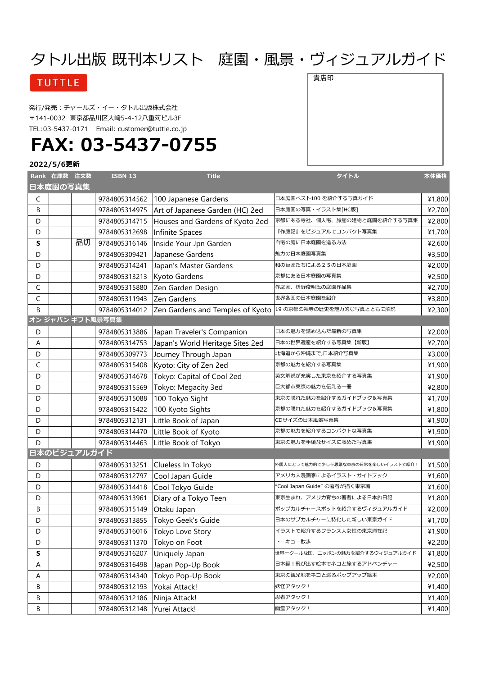## タトル出版 既刊本リスト 庭園・風景・ヴィジュアルガイド

### **TUTTLE**

発行/発売:チャールズ・イー・タトル出版株式会社 〒141-0032 東京都品川区大崎5-4-12八重苅ビル3F TEL:03-5437-0171 Email: [customer@tuttle.co.jp](mailto:customer@tuttle.co.jp)

# **FAX: 03-5437-0755**

### **2022/5/6更新**

|              | Rank 在庫数 注文数 |             | <b>ISBN 13</b>                | <b>Title</b>                     | タイトル                               | 本体価格   |
|--------------|--------------|-------------|-------------------------------|----------------------------------|------------------------------------|--------|
|              | 日本庭園の写真集     |             |                               |                                  |                                    |        |
| C            |              |             | 9784805314562                 | 100 Japanese Gardens             | 日本庭園ベスト100 を紹介する写真ガイド              | ¥1,800 |
| B            |              |             | 9784805314975                 | Art of Japanese Garden (HC) 2ed  | 日本庭園の写真・イラスト集[HC版]                 | ¥2,700 |
| D            |              |             | 9784805314715                 | Houses and Gardens of Kyoto 2ed  | 京都にある寺社、個人宅、旅館の建物と庭園を紹介する写真集       | ¥2,800 |
| D            |              |             | 9784805312698                 | Infinite Spaces                  | 『作庭記』をビジュアルでコンパクト写真集               | ¥1,700 |
| S            |              | 品切          | 9784805316146                 | Inside Your Jpn Garden           | 自宅の庭に日本庭園を造る方法                     | ¥2,600 |
| D            |              |             | 9784805309421                 | Japanese Gardens                 | 魅力の日本庭園写真集                         | ¥3,500 |
| D            |              |             | 9784805314241                 | Japan's Master Gardens           | 和の巨匠たちによる25の日本庭園                   | ¥2,000 |
| D            |              |             | 9784805313213                 | Kyoto Gardens                    | 京都にある日本庭園の写真集                      | ¥2,500 |
| $\mathsf C$  |              |             | 9784805315880                 | Zen Garden Design                | 作庭家、枡野俊明氏の庭園作品集                    | ¥2,700 |
| $\mathsf C$  |              |             | 9784805311943                 | Zen Gardens                      | 世界各国の日本庭園を紹介                       | ¥3,800 |
| <sub>R</sub> |              |             | 9784805314012                 | Zen Gardens and Temples of Kyoto | 19 の京都の禅寺の歴史を魅力的な写真とともに解説          | ¥2,300 |
|              |              |             | オン ジャパン ギフト風景写真集              |                                  |                                    |        |
| D            |              |             | 9784805313886                 | Japan Traveler's Companion       | 日本の魅力を詰め込んだ最新の写真集                  | ¥2,000 |
| A            |              |             | 9784805314753                 | Japan's World Heritage Sites 2ed | 日本の世界遺産を紹介する写真集【新版】                | ¥2,700 |
| D            |              |             | 9784805309773                 | Journey Through Japan            | 北海道から沖縄まで,日本紹介写真集                  | ¥3,000 |
| $\mathsf C$  |              |             | 9784805315408                 | Kyoto: City of Zen 2ed           | 京都の魅力を紹介する写真集                      | ¥1,900 |
| D            |              |             | 9784805314678                 | Tokyo: Capital of Cool 2ed       | 英文解説が充実した東京を紹介する写真集                | ¥1,900 |
| D            |              |             | 9784805315569                 | Tokyo: Megacity 3ed              | 巨大都市東京の魅力を伝える一冊                    | ¥2,800 |
| D            |              |             | 9784805315088                 | 100 Tokyo Sight                  | 東京の隠れた魅力を紹介するガイドブック&写真集            | ¥1,700 |
| D            |              |             | 9784805315422                 | 100 Kyoto Sights                 | 京都の隠れた魅力を紹介するガイドブック&写真集            | ¥1,800 |
| D            |              |             | 9784805312131                 | Little Book of Japan             | CDサイズの日本風景写真集                      | ¥1,900 |
| D            |              |             | 9784805314470                 | Little Book of Kyoto             | 京都の魅力を紹介するコンパクトな写真集                | ¥1,900 |
| D            |              |             | 9784805314463                 | Little Book of Tokyo             | 東京の魅力を手頃なサイズに収めた写真集                | ¥1,900 |
|              |              | 日本のビジュアルガイド |                               |                                  |                                    |        |
| D            |              |             | 9784805313251                 | Clueless In Tokyo                | 外国人にとって魅力的で少し不思議な東京の日常を楽しいイラストで紹介! | ¥1,500 |
| D            |              |             | 9784805312797                 | Cool Japan Guide                 | アメリカ人漫画家によるイラスト・ガイドブック             | ¥1,600 |
| D            |              |             | 9784805314418                 | Cool Tokyo Guide                 | "Cool Japan Guide" の著者が描く東京編       | ¥1,600 |
| D            |              |             | 9784805313961                 | Diary of a Tokyo Teen            | 東京生まれ、アメリカ育ちの著者による日本旅日記            | ¥1,800 |
| B            |              |             | 9784805315149                 | Otaku Japan                      | ポップカルチャースポットを紹介するヴィジュアルガイド         | ¥2,000 |
| D            |              |             | 9784805313855                 | Tokyo Geek's Guide               | 日本のサブカルチャーに特化した新しい東京ガイド            | ¥1,700 |
| D            |              |             |                               | 9784805316016 Tokyo Love Story   | イラストで紹介するフランス人女性の東京滞在記             | ¥1,900 |
| D            |              |             | 9784805311370 Tokyo on Foot   |                                  | トーキョー散歩                            | ¥2,200 |
| S            |              |             | 9784805316207                 | Uniquely Japan                   | 世界一クールな国、ニッポンの魅力を紹介するヴィジュアルガイド     | ¥1,800 |
| A            |              |             | 9784805316498                 | Japan Pop-Up Book                | 日本編!飛び出す絵本でネコと旅するアドベンチャー           | ¥2,500 |
| A            |              |             | 9784805314340                 | Tokyo Pop-Up Book                | 東京の観光地をネコと巡るポップアップ絵本               | ¥2,000 |
| В            |              |             | 9784805312193                 | Yokai Attack!                    | 妖怪アタック!                            | ¥1,400 |
| В            |              |             | 9784805312186                 | Ninja Attack!                    | 忍者アタック!                            | ¥1,400 |
| B            |              |             | 9784805312148   Yurei Attack! |                                  | 幽霊アタック!                            | ¥1,400 |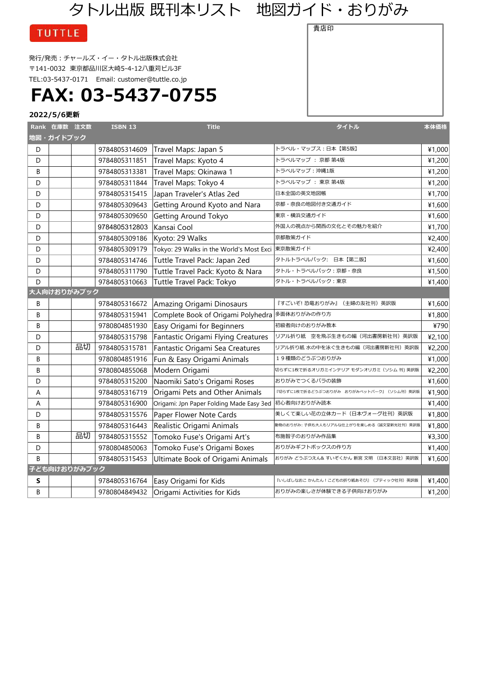## タトル出版 既刊本リスト 地図ガイド・おりがみ

貴店印

**TUTTLE** 

発行/発売:チャールズ・イー・タトル出版株式会社 〒141-0032 東京都品川区大崎5-4-12八重苅ビル3F TEL:03-5437-0171 Email: [customer@tuttle.co.jp](mailto:customer@tuttle.co.jp)

**FAX: 03-5437-0755**

|   | Rank 在庫数 注文数 |              | <b>ISBN 13</b> | <b>Title</b>                                     | タイトル                                       | 本体価格   |
|---|--------------|--------------|----------------|--------------------------------------------------|--------------------------------------------|--------|
|   | 地図・ガイドブック    |              |                |                                                  |                                            |        |
| D |              |              | 9784805314609  | Travel Maps: Japan 5                             | トラベル・マップス:日本【第5版】                          | ¥1,000 |
| D |              |              | 9784805311851  | Travel Maps: Kyoto 4                             | トラベルマップ : 京都 第4版                           | ¥1,200 |
| B |              |              | 9784805313381  | Travel Maps: Okinawa 1                           | トラベルマップ:沖縄1版                               | ¥1,200 |
| D |              |              | 9784805311844  | Travel Maps: Tokyo 4                             | トラベルマップ: 東京 第4版                            | ¥1,200 |
| D |              |              | 9784805315415  | Japan Traveler's Atlas 2ed                       | 日本全国の英文地図帳                                 | ¥1,700 |
| D |              |              | 9784805309643  | Getting Around Kyoto and Nara                    | 京都・奈良の地図付き交通ガイド                            | ¥1,600 |
| D |              |              | 9784805309650  | Getting Around Tokyo                             | 東京・横浜交通ガイド                                 | ¥1,600 |
| D |              |              | 9784805312803  | Kansai Cool                                      | 外国人の視点から関西の文化とその魅力を紹介                      | ¥1,700 |
| D |              |              | 9784805309186  | Kyoto: 29 Walks                                  | 京都散策ガイド                                    | ¥2,400 |
| D |              |              | 9784805309179  | Tokyo: 29 Walks in the World's Most Exci 東京散策ガイド |                                            | ¥2,400 |
| D |              |              | 9784805314746  | Tuttle Travel Pack: Japan 2ed                    | タトルトラベルパック: 日本【第二版】                        | ¥1,600 |
| D |              |              | 9784805311790  | Tuttle Travel Pack: Kyoto & Nara                 | タトル・トラベルパック: 京都・奈良                         | ¥1,500 |
| D |              |              | 9784805310663  | Tuttle Travel Pack: Tokyo                        | タトル・トラベルパック:東京                             | ¥1,400 |
|   |              | 大人向けおりがみブック  |                |                                                  |                                            |        |
| B |              |              | 9784805316672  | Amazing Origami Dinosaurs                        | 『すごいぞ! 恐竜おりがみ』 (主婦の友社刊)英訳版                 | ¥1,600 |
| B |              |              | 9784805315941  | Complete Book of Origami Polyhedra               | 多面体おりがみの作り方                                | ¥1,800 |
| B |              |              | 9780804851930  | Easy Origami for Beginners                       | 初級者向けのおりがみ教本                               | ¥790   |
| D |              |              | 9784805315798  | Fantastic Origami Flying Creatures               | リアル折り紙 空を飛ぶ生きもの編 (河出書房新社刊) 英訳版             | ¥2,100 |
| D |              | 品切           | 9784805315781  | Fantastic Origami Sea Creatures                  | リアル折り紙 水の中を泳ぐ生きもの編(河出書房新社刊)英訳版             | ¥2,200 |
| B |              |              | 9780804851916  | Fun & Easy Origami Animals                       | 19種類のどうぶつおりがみ                              | ¥1,000 |
| B |              |              | 9780804855068  | Modern Origami                                   | 切らずに1枚で折るオリガミインテリア モダンオリガミ (ソシム 刊) 英訳版     | ¥2,200 |
| D |              |              | 9784805315200  | Naomiki Sato's Origami Roses                     | おりがみでつくるバラの装飾                              | ¥1,600 |
| Α |              |              | 9784805316719  | Origami Pets and Other Animals                   | 『切らずに1枚で折るどうぶつおりがみ おりがみペットパーク』 (ソシム刊) 英訳版  | ¥1,900 |
| Α |              |              | 9784805316900  | Origami: Jpn Paper Folding Made Easy 3ed         | 初心者向けおりがみ読本                                | ¥1,400 |
| D |              |              | 9784805315576  | Paper Flower Note Cards                          | 美しくて楽しい花の立体カード(日本ヴォーグ社刊)英訳版                | ¥1,800 |
| B |              |              | 9784805316443  | Realistic Origami Animals                        | 動物のおりがみ: 子供も大人もリアルな仕上がりを楽しめる (誠文堂新光社刊) 英訳版 | ¥1,800 |
| B |              | 品切           | 9784805315552  | Tomoko Fuse's Origami Art's                      | 布施智子のおりがみ作品集                               | ¥3,300 |
| D |              |              | 9780804850063  | Tomoko Fuse's Origami Boxes                      | おりがみギフトボックスの作り方                            | ¥1,400 |
| B |              |              | 9784805315453  | Ultimate Book of Origami Animals                 | おりがみ どうぶつえん& すいぞくかん 新宮 文明 (日本文芸社)英訳版       | ¥1,600 |
|   |              | 子ども向けおりがみブック |                |                                                  |                                            |        |
| S |              |              | 9784805316764  | Easy Origami for Kids                            | 『いしばしなおこ かんたん!こどもの折り紙あそび』 (ブティック社刊)英訳版     | ¥1,400 |
| B |              |              | 9780804849432  | Origami Activities for Kids                      | おりがみの楽しさが体験できる子供向けおりがみ                     | ¥1,200 |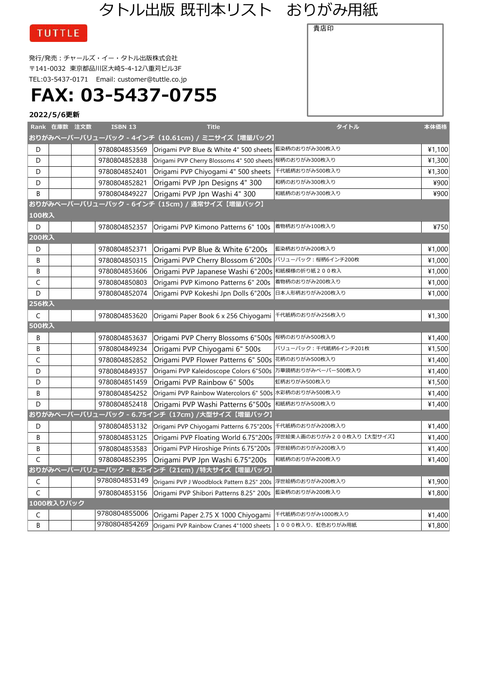## タトル出版 既刊本リスト おりがみ用紙

**TUTTLE** 

発行/発売:チャールズ・イー・タトル出版株式会社 〒141-0032 東京都品川区大崎5-4-12八重苅ビル3F TEL:03-5437-0171 Email: [customer@tuttle.co.jp](mailto:customer@tuttle.co.jp)

**FAX: 03-5437-0755**

### **2022/5/6更新**

|       | Rank 在庫数 注文数 | <b>ISBN 13</b> | <b>Title</b>                                               | タイトル                     | 本体価格   |
|-------|--------------|----------------|------------------------------------------------------------|--------------------------|--------|
|       |              |                | おりがみペーパーバリューパック - 4インチ(10.61cm) / ミニサイズ【増量パック】             |                          |        |
| D     |              | 9780804853569  | Origami PVP Blue & White 4" 500 sheets                     | 藍染柄のおりがみ300枚入り           | ¥1,100 |
| D     |              | 9780804852838  | Origami PVP Cherry Blossoms 4" 500 sheets 桜柄のおりがみ300枚入り    |                          | ¥1,300 |
| D     |              | 9780804852401  | Origami PVP Chiyogami 4" 500 sheets                        | 千代紙柄おりがみ500枚入り           | ¥1,300 |
| D     |              | 9780804852821  | Origami PVP Jpn Designs 4" 300                             | 和柄のおりがみ300枚入り            | ¥900   |
| B     |              | 9780804849227  | Origami PVP Jpn Washi 4" 300                               | 和紙柄のおりがみ300枚入り           | ¥900   |
|       |              |                | おりがみペーパーバリューパック - 6インチ (15cm) / 通常サイズ【増量パック】               |                          |        |
| 100枚入 |              |                |                                                            |                          |        |
| D     |              | 9780804852357  | Origami PVP Kimono Patterns 6" 100s                        | 着物柄おりがみ100枚入り            | ¥750   |
| 200枚入 |              |                |                                                            |                          |        |
| D     |              | 9780804852371  | Origami PVP Blue & White 6"200s                            | 藍染柄おりがみ200枚入り            | ¥1,000 |
| B     |              | 9780804850315  | Origami PVP Cherry Blossom 6"200s                          | バリューパック:桜柄6インチ200枚       | ¥1,000 |
| В     |              | 9780804853606  | Origami PVP Japanese Washi 6"200s                          | 和紙模様の折り紙200枚入            | ¥1,000 |
| C     |              | 9780804850803  | Origami PVP Kimono Patterns 6" 200s                        | 着物柄のおりがみ200枚入り           | ¥1,000 |
| D     |              | 9780804852074  | Origami PVP Kokeshi Jpn Dolls 6"200s                       | 日本人形柄おりがみ200枚入り          | ¥1,000 |
| 256枚入 |              |                |                                                            |                          |        |
| C     |              | 9780804853620  | Origami Paper Book 6 x 256 Chiyogami                       | 千代紙柄のおりがみ256枚入り          | ¥1,300 |
| 500枚入 |              |                |                                                            |                          |        |
| В     |              | 9780804853637  | Origami PVP Cherry Blossoms 6"500s                         | 桜柄のおりがみ500枚入り            | ¥1,400 |
| В     |              | 9780804849234  | Origami PVP Chiyogami 6" 500s                              | バリューパック : 千代紙柄6インチ201枚   | ¥1,500 |
| C     |              | 9780804852852  | Origami PVP Flower Patterns 6" 500s                        | 花柄のおりがみ500枚入り            | ¥1,400 |
| D     |              | 9780804849357  | Origami PVP Kaleidoscope Colors 6"500s                     | 万華鏡柄おりがみペーパー500枚入り       | ¥1,400 |
| D     |              | 9780804851459  | Origami PVP Rainbow 6" 500s                                | 虹柄おりがみ500枚入り             | ¥1,500 |
| В     |              | 9780804854252  | Origami PVP Rainbow Watercolors 6" 500s 水彩柄のおりがみ500枚入り     |                          | ¥1,400 |
| D     |              | 9780804852418  | Origami PVP Washi Patterns 6"500s                          | 和紙柄おりがみ500枚入り            | ¥1,400 |
|       |              |                | おりがみペーパーバリューパック - 6.75インチ (17cm) /大型サイズ【増量パック】             |                          |        |
| D     |              | 9780804853132  | Origami PVP Chiyogami Patterns 6.75"200s                   | 千代紙柄のおりがみ200枚入り          | ¥1,400 |
| В     |              | 9780804853125  | Origami PVP Floating World 6.75"200s                       | 浮世絵美人画のおりがみ200枚入り【大型サイズ】 | ¥1,400 |
| B     |              | 9780804853583  | Origami PVP Hiroshige Prints 6.75"200s                     | 浮世絵柄のおりがみ200枚入り          | ¥1,400 |
| C     |              | 9780804852395  | Origami PVP Jpn Washi 6.75"200s                            | 和紙柄のおりがみ200枚入り           | ¥1,400 |
|       |              |                | おりがみペーパーバリューパック - 8.25インチ (21cm) /特大サイズ【増量パック】             |                          |        |
| C     |              | 9780804853149  | Origami PVP J Woodblock Pattern 8.25" 200s 浮世絵柄のおりがみ200枚入り |                          | ¥1,900 |
| C     |              | 9780804853156  | Origami PVP Shibori Patterns 8.25" 200s                    | 藍染柄のおりがみ200枚入り           | ¥1,800 |
|       | 1000枚入りパック   |                |                                                            |                          |        |
| C     |              |                | 9780804855006 Origami Paper 2.75 X 1000 Chiyogami          | 千代紙柄のおりがみ1000枚入り         | ¥1,400 |
| B     |              | 9780804854269  | Origami PVP Rainbow Cranes 4"1000 sheets                   | 1000枚入り、虹色おりがみ用紙         | ¥1,800 |